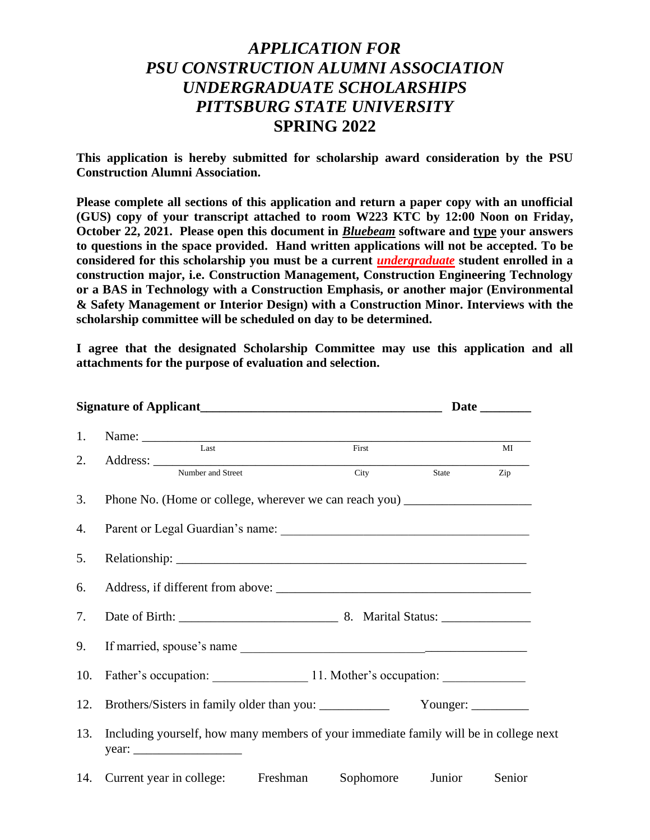## *APPLICATION FOR PSU CONSTRUCTION ALUMNI ASSOCIATION UNDERGRADUATE SCHOLARSHIPS PITTSBURG STATE UNIVERSITY* **SPRING 2022**

**This application is hereby submitted for scholarship award consideration by the PSU Construction Alumni Association.** 

**Please complete all sections of this application and return a paper copy with an unofficial (GUS) copy of your transcript attached to room W223 KTC by 12:00 Noon on Friday, October 22, 2021. Please open this document in** *Bluebeam* **software and type your answers to questions in the space provided. Hand written applications will not be accepted. To be considered for this scholarship you must be a current** *undergraduate* **student enrolled in a construction major, i.e. Construction Management, Construction Engineering Technology or a BAS in Technology with a Construction Emphasis, or another major (Environmental & Safety Management or Interior Design) with a Construction Minor. Interviews with the scholarship committee will be scheduled on day to be determined.**

**I agree that the designated Scholarship Committee may use this application and all attachments for the purpose of evaluation and selection.**

| 1.  | Name: Last First                                                                      |           |        |        |  |  |  |
|-----|---------------------------------------------------------------------------------------|-----------|--------|--------|--|--|--|
| 2.  |                                                                                       |           |        | MI     |  |  |  |
|     | Address: <u>Number and Street</u>                                                     | City      | State  | Zip    |  |  |  |
| 3.  | Phone No. (Home or college, wherever we can reach you) __________________________     |           |        |        |  |  |  |
| 4.  |                                                                                       |           |        |        |  |  |  |
| 5.  |                                                                                       |           |        |        |  |  |  |
| 6.  |                                                                                       |           |        |        |  |  |  |
| 7.  |                                                                                       |           |        |        |  |  |  |
| 9.  |                                                                                       |           |        |        |  |  |  |
| 10. | Father's occupation: 11. Mother's occupation:                                         |           |        |        |  |  |  |
| 12. |                                                                                       |           |        |        |  |  |  |
| 13. | Including yourself, how many members of your immediate family will be in college next |           |        |        |  |  |  |
|     | 14. Current year in college:<br>Freshman                                              | Sophomore | Junior | Senior |  |  |  |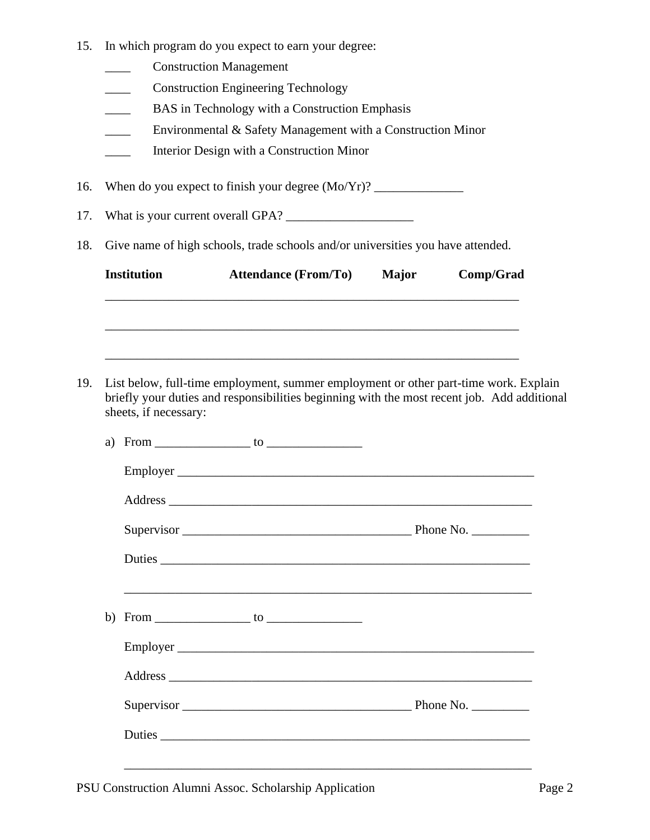- 15. In which program do you expect to earn your degree:
	- \_\_\_\_ Construction Management
	- \_\_\_\_ Construction Engineering Technology
	- **EXECUTE:** BAS in Technology with a Construction Emphasis
	- \_\_\_\_ Environmental & Safety Management with a Construction Minor
	- \_\_\_\_ Interior Design with a Construction Minor

16. When do you expect to finish your degree  $(Mo/Yr)$ ?

- 17. What is your current overall GPA? \_\_\_\_\_\_\_\_\_\_\_\_\_\_\_\_\_\_\_\_
- 18. Give name of high schools, trade schools and/or universities you have attended.

| sheets, if necessary: | List below, full-time employment, summer employment or other part-time work. Explain<br>briefly your duties and responsibilities beginning with the most recent job. Add additional |  |
|-----------------------|-------------------------------------------------------------------------------------------------------------------------------------------------------------------------------------|--|
|                       |                                                                                                                                                                                     |  |
|                       |                                                                                                                                                                                     |  |
|                       |                                                                                                                                                                                     |  |
|                       | Supervisor Phone No.                                                                                                                                                                |  |
|                       | Duties                                                                                                                                                                              |  |
|                       |                                                                                                                                                                                     |  |
|                       | Employer                                                                                                                                                                            |  |
|                       |                                                                                                                                                                                     |  |
|                       |                                                                                                                                                                                     |  |
|                       | Duties                                                                                                                                                                              |  |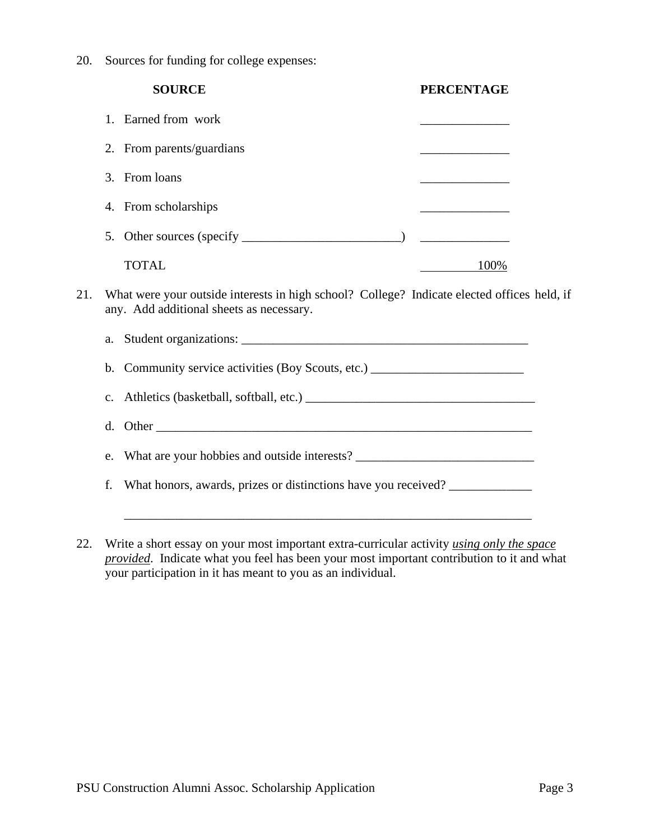20. Sources for funding for college expenses:

|     | <b>SOURCE</b>                                                                                                                           | <b>PERCENTAGE</b> |  |  |  |  |
|-----|-----------------------------------------------------------------------------------------------------------------------------------------|-------------------|--|--|--|--|
|     | 1. Earned from work                                                                                                                     |                   |  |  |  |  |
|     | 2. From parents/guardians                                                                                                               |                   |  |  |  |  |
|     | 3. From loans                                                                                                                           |                   |  |  |  |  |
|     | 4. From scholarships                                                                                                                    |                   |  |  |  |  |
|     |                                                                                                                                         |                   |  |  |  |  |
|     | <b>TOTAL</b>                                                                                                                            | 100%              |  |  |  |  |
| 21. | What were your outside interests in high school? College? Indicate elected offices held, if<br>any. Add additional sheets as necessary. |                   |  |  |  |  |
|     | Student organizations:<br>a.                                                                                                            |                   |  |  |  |  |

b. Community service activities (Boy Scouts, etc.) \_\_\_\_\_\_\_\_\_\_\_\_\_\_\_\_\_\_\_\_\_\_\_\_\_\_\_\_\_

c. Athletics (basketball, softball, etc.) \_\_\_\_\_\_\_\_\_\_\_\_\_\_\_\_\_\_\_\_\_\_\_\_\_\_\_\_\_\_\_\_\_\_\_\_

d. Other

e. What are your hobbies and outside interests? \_\_\_\_\_\_\_\_\_\_\_\_\_\_\_\_\_\_\_\_\_\_\_\_\_\_\_\_\_\_\_\_

f. What honors, awards, prizes or distinctions have you received? \_\_\_\_\_\_\_\_\_\_\_\_\_

22. Write a short essay on your most important extra-curricular activity *using only the space provided*. Indicate what you feel has been your most important contribution to it and what your participation in it has meant to you as an individual.

\_\_\_\_\_\_\_\_\_\_\_\_\_\_\_\_\_\_\_\_\_\_\_\_\_\_\_\_\_\_\_\_\_\_\_\_\_\_\_\_\_\_\_\_\_\_\_\_\_\_\_\_\_\_\_\_\_\_\_\_\_\_\_\_